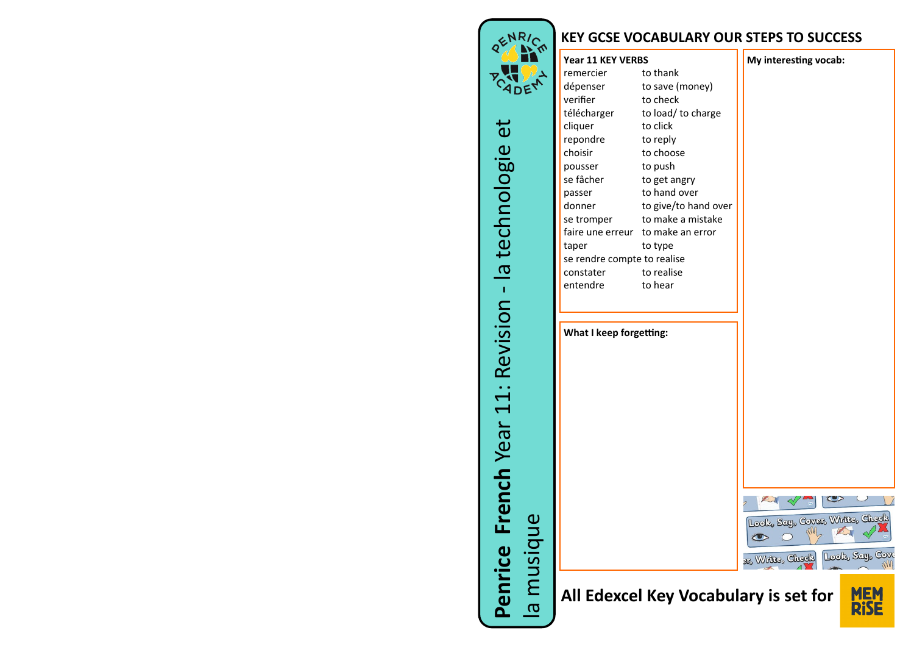

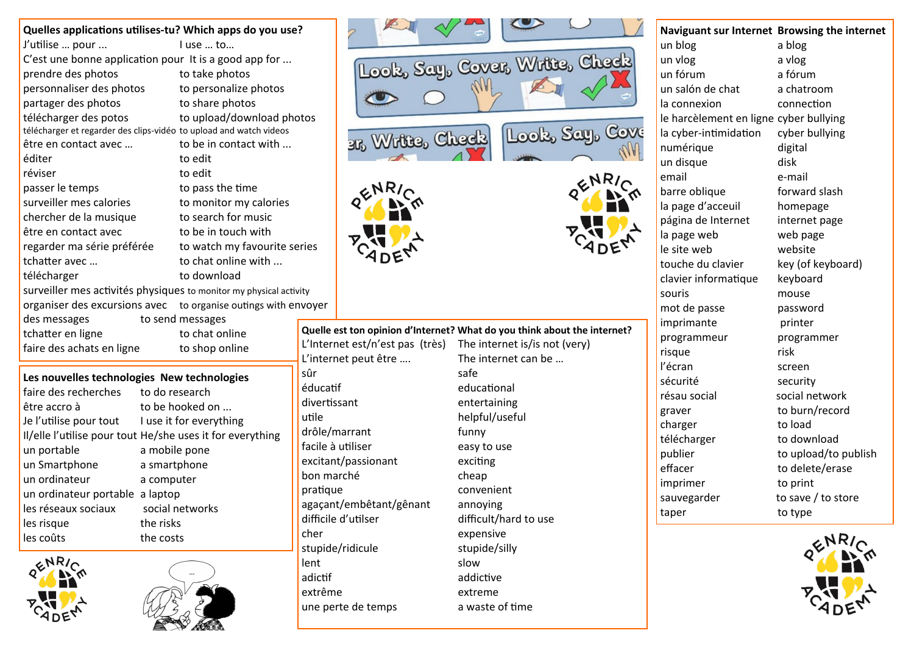|                                             | Quelles applications utilises-tu? Which apps do you use?           |              |                                        |                  |
|---------------------------------------------|--------------------------------------------------------------------|--------------|----------------------------------------|------------------|
| J'utilise  pour                             | I use  to                                                          |              |                                        |                  |
|                                             | C'est une bonne application pour It is a good app for              |              |                                        |                  |
| prendre des photos                          | to take photos                                                     |              | Look, Say, Co                          |                  |
| personnaliser des photos                    | to personalize photos                                              |              |                                        |                  |
| partager des photos                         | to share photos                                                    |              |                                        |                  |
| télécharger des potos                       | to upload/download photos                                          |              |                                        |                  |
|                                             | télécharger et regarder des clips-vidéo to upload and watch videos |              |                                        |                  |
| être en contact avec                        | to be in contact with                                              |              | 317 Write, Che                         |                  |
| éditer                                      | to edit                                                            |              |                                        |                  |
| réviser                                     | to edit                                                            |              |                                        |                  |
| passer le temps                             | to pass the time                                                   |              |                                        |                  |
| surveiller mes calories                     | to monitor my calories                                             |              |                                        |                  |
| chercher de la musique                      | to search for music                                                |              |                                        |                  |
| être en contact avec                        | to be in touch with                                                |              |                                        |                  |
| regarder ma série préférée                  | to watch my favourite series                                       |              |                                        |                  |
| tchatter avec                               | to chat online with                                                |              |                                        |                  |
| télécharger                                 | to download                                                        |              |                                        |                  |
|                                             | surveiller mes activités physiques to monitor my physical activity |              |                                        |                  |
| organiser des excursions avec               | to organise outings with envoyer                                   |              |                                        |                  |
| des messages                                | to send messages                                                   |              |                                        |                  |
| tchatter en ligne                           | to chat online                                                     |              | Quelle est ton opinion d'Internet? Wha | The              |
| faire des achats en ligne                   | to shop online                                                     |              | L'Internet est/n'est pas (très)        | The              |
|                                             |                                                                    | sûr          | L'internet peut être                   | safe             |
| Les nouvelles technologies New technologies |                                                                    | éducatif     |                                        | edu              |
| faire des recherches                        | to do research                                                     | divertissant |                                        |                  |
| être accro à                                | to be hooked on                                                    | utile        |                                        | ente<br>help     |
| Je l'utilise pour tout                      | I use it for everything                                            |              | drôle/marrant                          | funr             |
|                                             | Il/elle l'utilise pour tout He/she uses it for everything          |              | facile à utiliser                      |                  |
| un portable                                 | a mobile pone                                                      |              | excitant/passionant                    | easy<br>exci     |
| un Smartphone                               | a smartphone                                                       | bon marché   |                                        | chea             |
| un ordinateur                               | a computer                                                         | pratique     |                                        |                  |
| un ordinateur portable a laptop             |                                                                    |              | agaçant/embêtant/gênant                | con<br>ann       |
| les réseaux sociaux                         | social networks                                                    |              | difficile d'utilser                    | diffi            |
| les risque                                  | the risks                                                          | cher         |                                        | exp <sub>0</sub> |
| les coûts                                   | the costs                                                          |              | .                                      |                  |









| Naviguant sur Internet Browsing the internet |                      |
|----------------------------------------------|----------------------|
| un blog                                      | a blog               |
| un vlog                                      | a vlog               |
| un fórum                                     | a fórum              |
| un salón de chat                             | a chatroom           |
| la connexion                                 | connection           |
| le harcèlement en ligne cyber bullying       |                      |
| la cyber-intimidation                        | cyber bullying       |
| numérique                                    | digital              |
| un disque                                    | disk                 |
| email                                        | e-mail               |
| barre oblique                                | forward slash        |
| la page d'acceuil                            | homepage             |
| página de Internet                           | internet page        |
| la page web                                  | web page             |
| le site web                                  | website              |
| touche du clavier                            | key (of keyboard)    |
| clavier informatique                         | keyboard             |
| souris                                       | mouse                |
| mot de passe                                 | password             |
| imprimante                                   | printer              |
| programmeur                                  | programmer           |
| risque                                       | risk                 |
| l'écran                                      | screen               |
| sécurité                                     | security             |
| résau social                                 | social network       |
| graver                                       | to burn/record       |
| charger                                      | to load              |
| télécharger                                  | to download          |
| publier                                      | to upload/to publish |
| effacer                                      | to delete/erase      |
| imprimer                                     | to print             |
| sauvegarder                                  | to save / to store   |
| taper                                        | to type              |
|                                              |                      |



**Quelle est ton opinion d'Internet? What do you think about the internet?** pas (très) The internet is/is not (very) .... The internet can be …

stupide/ridicule stupide/silly lent slow adictif addictive extrême extreme

educational entertaining helpful/useful funny easy to use exciting cheap convenient gênant annoying difficult/hard to use expensive une perte de temps a waste of time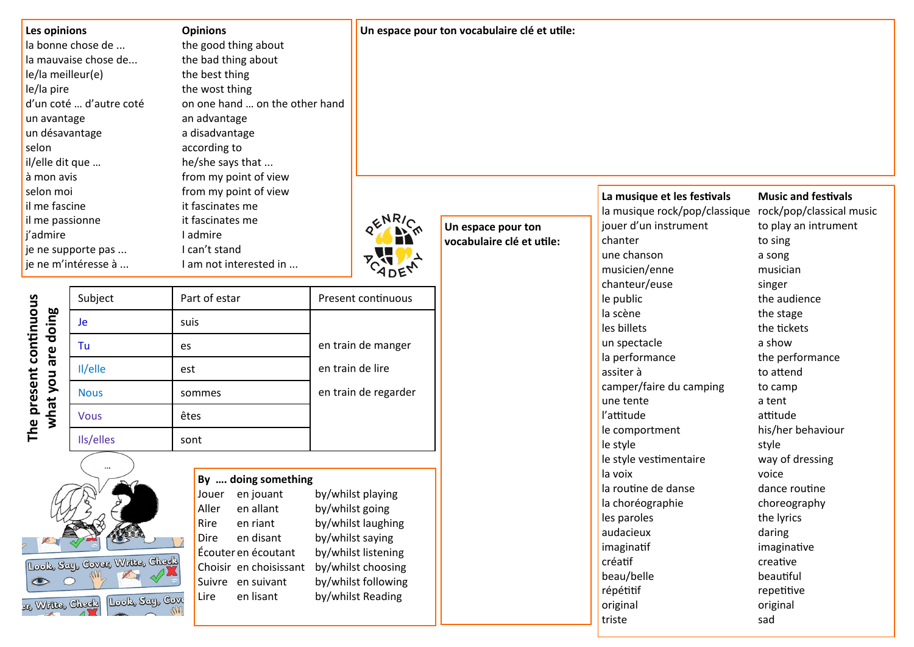| Les opinions            | <b>Opinions</b>                |
|-------------------------|--------------------------------|
| la bonne chose de       | the good thing about           |
| la mauvaise chose de    | the bad thing about            |
| le/la meilleur(e)       | the best thing                 |
| le/la pire              | the wost thing                 |
| d'un coté  d'autre coté | on one hand  on the other hand |
| un avantage             | an advantage                   |
| un désavantage          | a disadvantage                 |
| selon                   | according to                   |
| il/elle dit que         | he/she says that               |
| à mon avis              | from my point of view          |
| selon moi               | from my point of view          |
| il me fascine           | it fascinates me               |
| il me passionne         | it fascinates me               |
| j'admire                | I admire                       |
| je ne supporte pas      | I can't stand                  |
| je ne m'intéresse à     | I am not interested in         |

**Un espace pour ton vocabulaire clé et utile:**



**Un espace pour ton vocabulaire clé et utile:** la musique rock/pop/classique rock/pop/classical music jouer d'un instrument to play an intrument chanter to sing une chanson a song musicien/enne musician chanteur/euse singer **le public** the audience la scène the stage les billets the tickets **un spectacle** a show  $\blacksquare$  la performance the performance assiter à to attend camper/faire du camping to camp une tente a tent l'attitude attitude le comportment his/her behaviour le style style style le style vestimentaire way of dressing la voix voice la routine de danse dance routine la choréographie choreography les paroles the lyrics audacieux daring imaginatif imaginative créatif creative beau/belle beautiful répétitif repetitive original original

**La musique et les festivals Music and festivals**

triste sad

|                                              | Subject     | Part of estar | Present continuous   |
|----------------------------------------------|-------------|---------------|----------------------|
|                                              | Je          | suis          |                      |
|                                              | Tu          | es            | en train de manger   |
|                                              | Il/elle     | est           | en train de lire     |
|                                              | <b>Nous</b> | sommes        | en train de regarder |
| The present continuous<br>what you are doing | <b>Vous</b> | êtes          |                      |
|                                              | Ils/elles   | sont          |                      |



| By  doing something |                                       |   |  |
|---------------------|---------------------------------------|---|--|
|                     | Jouer en jouant                       | b |  |
|                     | Aller en allant                       | b |  |
|                     | Rire en riant                         | b |  |
| Dire                | en disant                             | b |  |
|                     | Écouter en écoutant                   | b |  |
|                     | Choisir en choisissant                | b |  |
|                     | المستقل والمستحدث والمنافذة والمتناور |   |  |

y/whilst playing by/whilst going by/whilst laughing by/whilst saying by/whilst listening by/whilst choosing Suivre en suivant by/whilst following Lire en lisant by/whilst Reading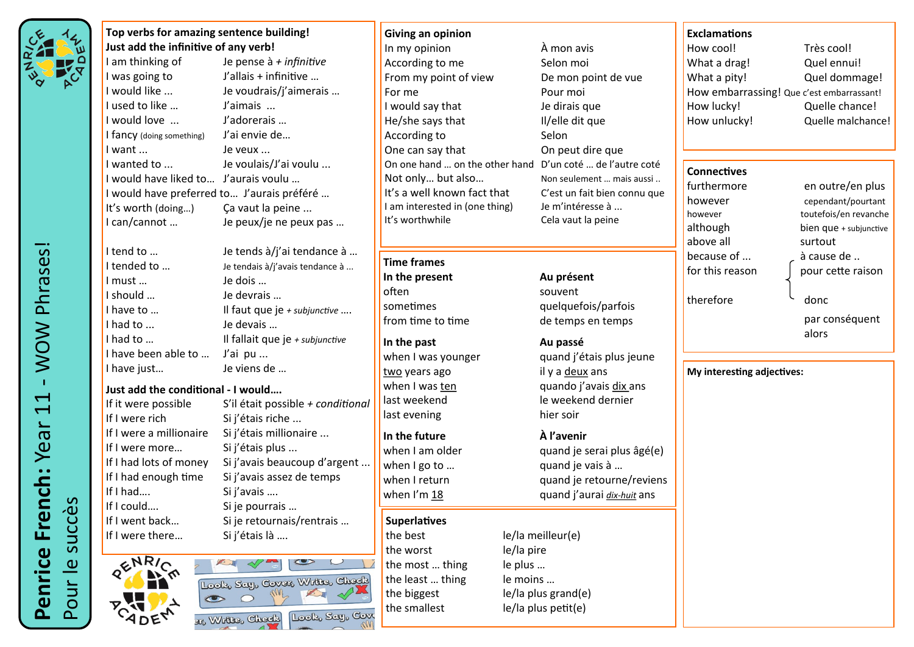| $\blacklozenge$<br>a)<br>R <sub>I</sub> |
|-----------------------------------------|
|-----------------------------------------|

**Just add the infinitive of any verb!** I am thinking of Je pense à *+ infinitive* I was going to J'allais + infinitive … I would like ... Je voudrais/j'aimerais … I used to like … J'aimais … I would love ... J'adorerais … I fancy (doing something) J'ai envie de… I want ... **Je veux ...** I wanted to ... Je voulais/J'ai voulu ... I would have liked to… J'aurais voulu … I would have preferred to… J'aurais préféré … It's worth (doing...) Ca vaut la peine ... I can/cannot … Je peux/je ne peux pas … I tend to … Je tends à/j'ai tendance à … I tended to ... Subsetendais à l'avais tendance à ... I must … Je dois … I should … Je devrais … I have to … **Il faut que je** *+ subjunctive* … I had to ... **Je devais …** I had to ... **Il fallait que je** + subjunctive I have been able to ... J'ai pu ... I have just… Je viens de …

**Top verbs for amazing sentence building!**

#### **Just add the conditional - I would….**

If it were possible S'il était possible *+ conditional* If I were rich Si j'étais riche ... If I were a millionaire Si j'étais millionaire ... If I were more... Si j'étais plus ... If I had lots of money Si j'avais beaucoup d'argent ... If I had enough time Si j'avais assez de temps If I had…. Si j'avais …. If I could.... Si je pourrais ... If I went back… Si je retournais/rentrais … If I were there... Si j'étais là ....



**Giving an opinion** In my opinion  $\hat{A}$  mon avis According to me Selon moi From my point of view De mon point de vue For me Pour moi I would say that The dirais que He/she says that Il/elle dit que According to Selon One can say that Con peut dire que On one hand … on the other hand D'un coté … de l'autre coté Not only... but also... Non seulement ... mais aussi .. It's a well known fact that C'est un fait bien connu que I am interested in (one thing) Je m'intéresse à ... It's worthwhile Cela vaut la peine

### **Time frames**

- **In the present Au présent** often souvent sometimes quelquefois/parfois from time to time de temps en temps
- **In the past Au passé** two years ago il y a deux ans last evening hier soir

**In the future À l'avenir**

### **Superlatives**

the best le/la meilleur(e) the worst le/la pire the most ... thing le plus ... the least ... thing le moins ... the biggest le/la plus grand(e) the smallest le/la plus petit(e)

when I was younger and i'étais plus jeune when I was ten quando i'avais dix ans last weekend le weekend dernier

when I am older quand je serai plus âgé(e) when I go to ... **quand je vais à ...** when I return quand je retourne/reviens when I'm 18 quand j'aurai *dix-huit* ans

### **Exclamations**

How cool! Très cool! What a drag! Quel ennui! What a pity! Quel dommage! How embarrassing! Que c'est embarrassant! How lucky! Quelle chance! How unlucky! Quelle malchance!

## **Connectives**

furthermore en outre/en plus however cependant/pourtant however toutefois/en revanche although bien que + subjunctive above all surtout because of ... a cause de ... for this reason  $\Box$  pour cette raison therefore donc par conséquent

alors

**My interesting adjectives:**

 WOW Phrases! - WOW Phrases! **Penrice French:** Year 11  $\overline{\overline{L}}$ Penrice French: Year succès Pour le succès Pour le s